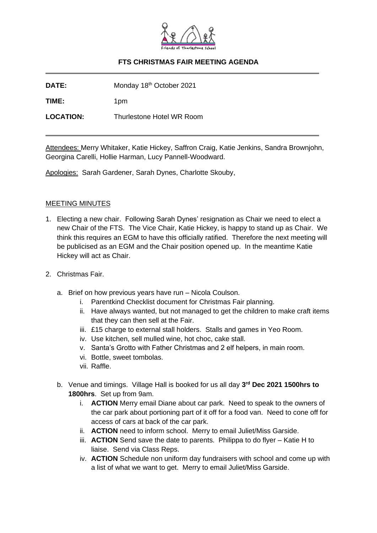

# **FTS CHRISTMAS FAIR MEETING AGENDA**

**DATE:** Monday 18<sup>th</sup> October 2021

**TIME:** 1pm

**LOCATION:** Thurlestone Hotel WR Room

Attendees: Merry Whitaker, Katie Hickey, Saffron Craig, Katie Jenkins, Sandra Brownjohn, Georgina Carelli, Hollie Harman, Lucy Pannell-Woodward.

Apologies: Sarah Gardener, Sarah Dynes, Charlotte Skouby,

## MEETING MINUTES

- 1. Electing a new chair. Following Sarah Dynes' resignation as Chair we need to elect a new Chair of the FTS. The Vice Chair, Katie Hickey, is happy to stand up as Chair. We think this requires an EGM to have this officially ratified. Therefore the next meeting will be publicised as an EGM and the Chair position opened up. In the meantime Katie Hickey will act as Chair.
- 2. Christmas Fair.
	- a. Brief on how previous years have run Nicola Coulson.
		- i. Parentkind Checklist document for Christmas Fair planning.
		- ii. Have always wanted, but not managed to get the children to make craft items that they can then sell at the Fair.
		- iii. £15 charge to external stall holders. Stalls and games in Yeo Room.
		- iv. Use kitchen, sell mulled wine, hot choc, cake stall.
		- v. Santa's Grotto with Father Christmas and 2 elf helpers, in main room.
		- vi. Bottle, sweet tombolas.
		- vii. Raffle.
	- b. Venue and timings. Village Hall is booked for us all day **3 rd Dec 2021 1500hrs to 1800hrs**. Set up from 9am.
		- i. **ACTION** Merry email Diane about car park. Need to speak to the owners of the car park about portioning part of it off for a food van. Need to cone off for access of cars at back of the car park.
		- ii. **ACTION** need to inform school. Merry to email Juliet/Miss Garside.
		- iii. **ACTION** Send save the date to parents. Philippa to do flyer Katie H to liaise. Send via Class Reps.
		- iv. **ACTION** Schedule non uniform day fundraisers with school and come up with a list of what we want to get. Merry to email Juliet/Miss Garside.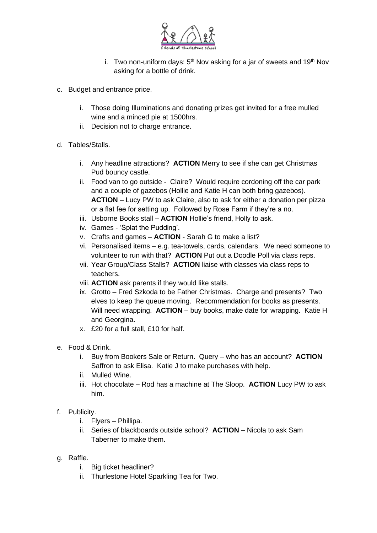

- i. Two non-uniform days:  $5<sup>th</sup>$  Nov asking for a jar of sweets and 19<sup>th</sup> Nov asking for a bottle of drink.
- c. Budget and entrance price.
	- i. Those doing Illuminations and donating prizes get invited for a free mulled wine and a minced pie at 1500hrs.
	- ii. Decision not to charge entrance.
- d. Tables/Stalls.
	- i. Any headline attractions? **ACTION** Merry to see if she can get Christmas Pud bouncy castle.
	- ii. Food van to go outside Claire? Would require cordoning off the car park and a couple of gazebos (Hollie and Katie H can both bring gazebos). **ACTION** – Lucy PW to ask Claire, also to ask for either a donation per pizza or a flat fee for setting up. Followed by Rose Farm if they're a no.
	- iii. Usborne Books stall **ACTION** Hollie's friend, Holly to ask.
	- iv. Games 'Splat the Pudding'.
	- v. Crafts and games **ACTION** Sarah G to make a list?
	- vi. Personalised items e.g. tea-towels, cards, calendars. We need someone to volunteer to run with that? **ACTION** Put out a Doodle Poll via class reps.
	- vii. Year Group/Class Stalls? **ACTION** liaise with classes via class reps to teachers.
	- viii. **ACTION** ask parents if they would like stalls.
	- ix. Grotto Fred Szkoda to be Father Christmas. Charge and presents? Two elves to keep the queue moving. Recommendation for books as presents. Will need wrapping. **ACTION** – buy books, make date for wrapping. Katie H and Georgina.
	- x. £20 for a full stall, £10 for half.
- e. Food & Drink.
	- i. Buy from Bookers Sale or Return. Query who has an account? **ACTION** Saffron to ask Elisa. Katie J to make purchases with help.
	- ii. Mulled Wine.
	- iii. Hot chocolate Rod has a machine at The Sloop. **ACTION** Lucy PW to ask him.
- f. Publicity.
	- i. Flyers Phillipa.
	- ii. Series of blackboards outside school? **ACTION** Nicola to ask Sam Taberner to make them.
- g. Raffle.
	- i. Big ticket headliner?
	- ii. Thurlestone Hotel Sparkling Tea for Two.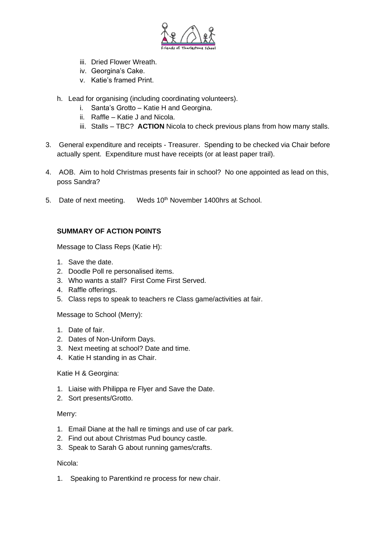

- iii. Dried Flower Wreath.
- iv. Georgina's Cake.
- v. Katie's framed Print.
- h. Lead for organising (including coordinating volunteers).
	- i. Santa's Grotto Katie H and Georgina.
	- ii. Raffle Katie J and Nicola.
	- iii. Stalls TBC? **ACTION** Nicola to check previous plans from how many stalls.
- 3. General expenditure and receipts Treasurer. Spending to be checked via Chair before actually spent. Expenditure must have receipts (or at least paper trail).
- 4. AOB. Aim to hold Christmas presents fair in school? No one appointed as lead on this, poss Sandra?
- 5. Date of next meeting. Weds 10<sup>th</sup> November 1400hrs at School.

# **SUMMARY OF ACTION POINTS**

Message to Class Reps (Katie H):

- 1. Save the date.
- 2. Doodle Poll re personalised items.
- 3. Who wants a stall? First Come First Served.
- 4. Raffle offerings.
- 5. Class reps to speak to teachers re Class game/activities at fair.

Message to School (Merry):

- 1. Date of fair.
- 2. Dates of Non-Uniform Days.
- 3. Next meeting at school? Date and time.
- 4. Katie H standing in as Chair.

#### Katie H & Georgina:

- 1. Liaise with Philippa re Flyer and Save the Date.
- 2. Sort presents/Grotto.

#### Merry:

- 1. Email Diane at the hall re timings and use of car park.
- 2. Find out about Christmas Pud bouncy castle.
- 3. Speak to Sarah G about running games/crafts.

#### Nicola:

1. Speaking to Parentkind re process for new chair.